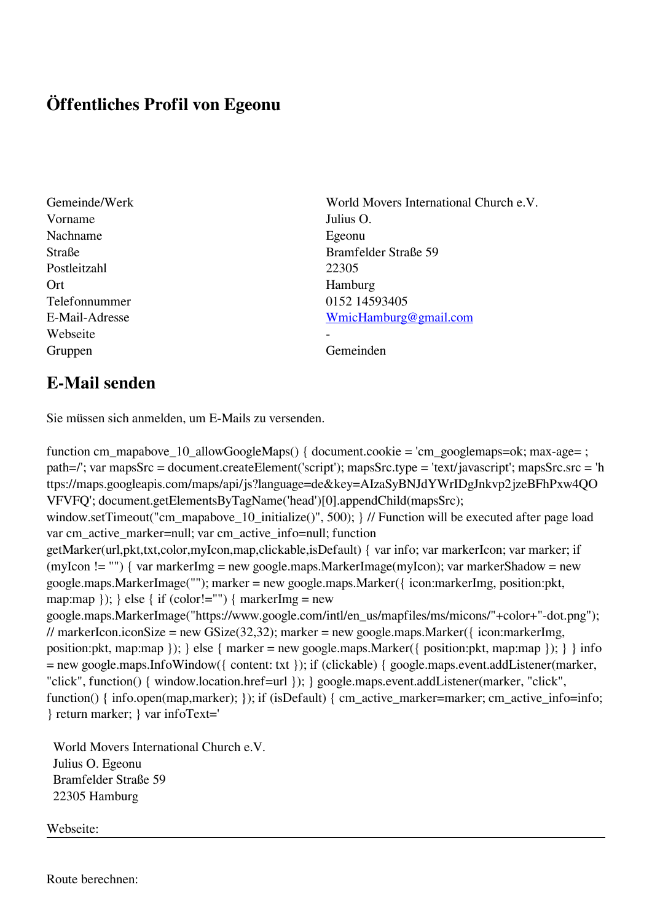## **Öffentliches Profil von Egeonu**

- Vorname Julius O. Nachname Egeonu Postleitzahl 22305 Ort Hamburg Telefonnummer 0152 14593405 Webseite Gruppen Gemeinden Gemeinden Gemeinden Gemeinden Gemeinden Gemeinden Gemeinden Gemeinden Gemeinden Gemeinden G
- Gemeinde/Werk World Movers International Church e.V. Straße Bramfelder Straße 59 E-Mail-Adresse [WmicHamburg@gmail.com](mailto:WmicHamburg@gmail.com)

## **E-Mail senden**

Sie müssen sich anmelden, um E-Mails zu versenden.

function cm\_mapabove\_10\_allowGoogleMaps() { document.cookie = 'cm\_googlemaps=ok; max-age= ; path=/'; var mapsSrc = document.createElement('script'); mapsSrc.type = 'text/javascript'; mapsSrc.src = 'h ttps://maps.googleapis.com/maps/api/js?language=de&key=AIzaSyBNJdYWrIDgJnkvp2jzeBFhPxw4QO VFVFQ'; document.getElementsByTagName('head')[0].appendChild(mapsSrc); window.setTimeout("cm\_mapabove\_10\_initialize()", 500); } // Function will be executed after page load var cm\_active\_marker=null; var cm\_active\_info=null; function getMarker(url,pkt,txt,color,myIcon,map,clickable,isDefault) { var info; var markerIcon; var marker; if (myIcon != "") { var markerImg = new google.maps.MarkerImage(myIcon); var markerShadow = new google.maps.MarkerImage(""); marker = new google.maps.Marker({ icon:markerImg, position:pkt, map:map  $\}$ ;  $\}$  else  $\{$  if (color!="")  $\{$  markerImg = new google.maps.MarkerImage("https://www.google.com/intl/en\_us/mapfiles/ms/micons/"+color+"-dot.png"); // markerIcon.iconSize = new GSize(32,32); marker = new google.maps.Marker({ $i$ con:markerImg, position:pkt, map:map }); } else { marker = new google.maps.Marker({ position:pkt, map:map }); } } info = new google.maps.InfoWindow({ content: txt }); if (clickable) { google.maps.event.addListener(marker, "click", function() { window.location.href=url }); } google.maps.event.addListener(marker, "click", function() { info.open(map,marker); }); if (isDefault) { cm\_active\_marker=marker; cm\_active\_info=info; } return marker; } var infoText='

 World Movers International Church e.V. Julius O. Egeonu Bramfelder Straße 59 22305 Hamburg

Webseite:

Route berechnen: